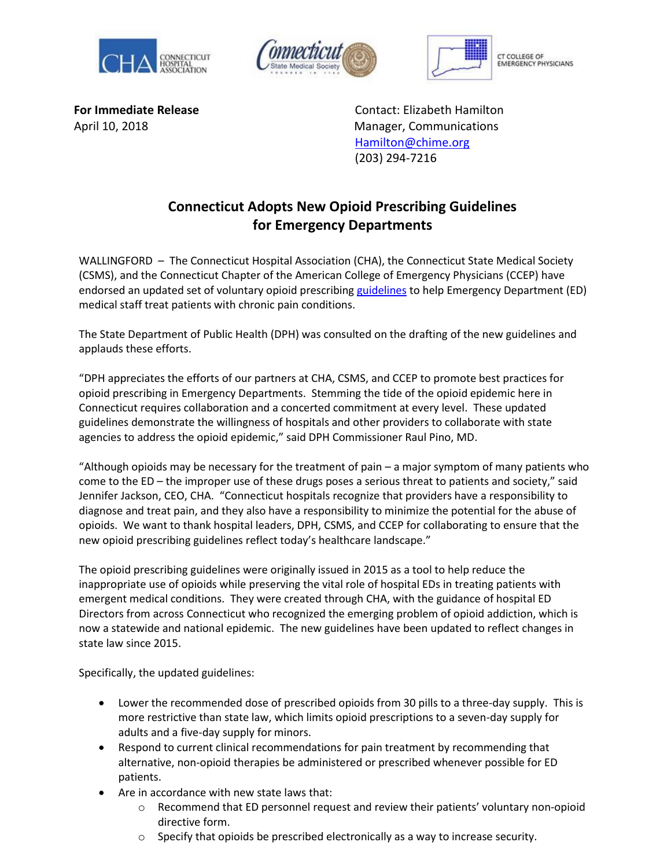





**CT COLLEGE OF ERGENCY PHYSICIANS** 

**For Immediate Release** Contact: Elizabeth Hamilton April 10, 2018Manager, Communications [Hamilton@chime.org](mailto:Hamilton@chime.org) (203) 294-7216

## **Connecticut Adopts New Opioid Prescribing Guidelines for Emergency Departments**

WALLINGFORD - The Connecticut Hospital Association (CHA), the Connecticut State Medical Society (CSMS), and the Connecticut Chapter of the American College of Emergency Physicians (CCEP) have endorsed an updated set of voluntary opioid prescribing [guidelines](https://documents.cthosp.org/9/Opioid%20Guidelines%20Final.pdf) to help Emergency Department (ED) medical staff treat patients with chronic pain conditions.

The State Department of Public Health (DPH) was consulted on the drafting of the new guidelines and applauds these efforts.

"DPH appreciates the efforts of our partners at CHA, CSMS, and CCEP to promote best practices for opioid prescribing in Emergency Departments. Stemming the tide of the opioid epidemic here in Connecticut requires collaboration and a concerted commitment at every level. These updated guidelines demonstrate the willingness of hospitals and other providers to collaborate with state agencies to address the opioid epidemic," said DPH Commissioner Raul Pino, MD.

"Although opioids may be necessary for the treatment of pain – a major symptom of many patients who come to the ED – the improper use of these drugs poses a serious threat to patients and society," said Jennifer Jackson, CEO, CHA. "Connecticut hospitals recognize that providers have a responsibility to diagnose and treat pain, and they also have a responsibility to minimize the potential for the abuse of opioids. We want to thank hospital leaders, DPH, CSMS, and CCEP for collaborating to ensure that the new opioid prescribing guidelines reflect today's healthcare landscape."

The opioid prescribing guidelines were originally issued in 2015 as a tool to help reduce the inappropriate use of opioids while preserving the vital role of hospital EDs in treating patients with emergent medical conditions. They were created through CHA, with the guidance of hospital ED Directors from across Connecticut who recognized the emerging problem of opioid addiction, which is now a statewide and national epidemic. The new guidelines have been updated to reflect changes in state law since 2015.

Specifically, the updated guidelines:

- Lower the recommended dose of prescribed opioids from 30 pills to a three-day supply. This is more restrictive than state law, which limits opioid prescriptions to a seven-day supply for adults and a five-day supply for minors.
- Respond to current clinical recommendations for pain treatment by recommending that alternative, non-opioid therapies be administered or prescribed whenever possible for ED patients.
- Are in accordance with new state laws that:
	- o Recommend that ED personnel request and review their patients' voluntary non-opioid directive form.
	- $\circ$  Specify that opioids be prescribed electronically as a way to increase security.